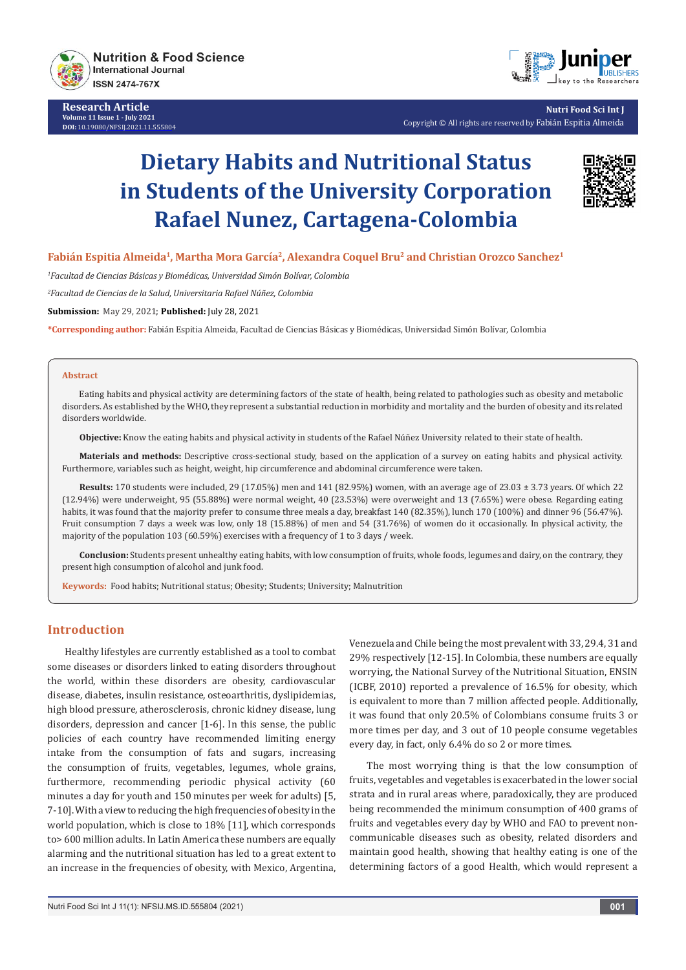

**Research Article Volume 11 Issue 1 - July 2021 DOI:** [10.19080/NFSIJ.2021.11.555804](http://dx.doi.org/10.19080/NFSIJ.2021.11.555804)



**Nutri Food Sci Int J** Copyright © All rights are reserved by Fabián Espitia Almeida

# **Dietary Habits and Nutritional Status in Students of the University Corporation Rafael Nunez, Cartagena-Colombia**



# Fabián Espitia Almeida<sup>1</sup>, Martha Mora García<sup>2</sup>, Alexandra Coquel Bru<sup>2</sup> and Christian Orozco Sanchez<sup>1</sup>

*1 Facultad de Ciencias Básicas y Biomédicas, Universidad Simón Bolívar, Colombia*

*2 Facultad de Ciencias de la Salud, Universitaria Rafael Núñez, Colombia*

**Submission:** May 29, 2021; **Published:** July 28, 2021

**\*Corresponding author:** Fabián Espitia Almeida, Facultad de Ciencias Básicas y Biomédicas, Universidad Simón Bolívar, Colombia

#### **Abstract**

Eating habits and physical activity are determining factors of the state of health, being related to pathologies such as obesity and metabolic disorders. As established by the WHO, they represent a substantial reduction in morbidity and mortality and the burden of obesity and its related disorders worldwide.

**Objective:** Know the eating habits and physical activity in students of the Rafael Núñez University related to their state of health.

**Materials and methods:** Descriptive cross-sectional study, based on the application of a survey on eating habits and physical activity. Furthermore, variables such as height, weight, hip circumference and abdominal circumference were taken.

**Results:** 170 students were included, 29 (17.05%) men and 141 (82.95%) women, with an average age of 23.03 ± 3.73 years. Of which 22 (12.94%) were underweight, 95 (55.88%) were normal weight, 40 (23.53%) were overweight and 13 (7.65%) were obese. Regarding eating habits, it was found that the majority prefer to consume three meals a day, breakfast 140 (82.35%), lunch 170 (100%) and dinner 96 (56.47%). Fruit consumption 7 days a week was low, only 18 (15.88%) of men and 54 (31.76%) of women do it occasionally. In physical activity, the majority of the population 103 (60.59%) exercises with a frequency of 1 to 3 days / week.

**Conclusion:** Students present unhealthy eating habits, with low consumption of fruits, whole foods, legumes and dairy, on the contrary, they present high consumption of alcohol and junk food.

**Keywords:** Food habits; Nutritional status; Obesity; Students; University; Malnutrition

## **Introduction**

Healthy lifestyles are currently established as a tool to combat some diseases or disorders linked to eating disorders throughout the world, within these disorders are obesity, cardiovascular disease, diabetes, insulin resistance, osteoarthritis, dyslipidemias, high blood pressure, atherosclerosis, chronic kidney disease, lung disorders, depression and cancer [1-6]. In this sense, the public policies of each country have recommended limiting energy intake from the consumption of fats and sugars, increasing the consumption of fruits, vegetables, legumes, whole grains, furthermore, recommending periodic physical activity (60 minutes a day for youth and 150 minutes per week for adults) [5, 7-10]. With a view to reducing the high frequencies of obesity in the world population, which is close to 18% [11], which corresponds to> 600 million adults. In Latin America these numbers are equally alarming and the nutritional situation has led to a great extent to an increase in the frequencies of obesity, with Mexico, Argentina,

Venezuela and Chile being the most prevalent with 33, 29.4, 31 and 29% respectively [12-15]. In Colombia, these numbers are equally worrying, the National Survey of the Nutritional Situation, ENSIN (ICBF, 2010) reported a prevalence of 16.5% for obesity, which is equivalent to more than 7 million affected people. Additionally, it was found that only 20.5% of Colombians consume fruits 3 or more times per day, and 3 out of 10 people consume vegetables every day, in fact, only 6.4% do so 2 or more times.

The most worrying thing is that the low consumption of fruits, vegetables and vegetables is exacerbated in the lower social strata and in rural areas where, paradoxically, they are produced being recommended the minimum consumption of 400 grams of fruits and vegetables every day by WHO and FAO to prevent noncommunicable diseases such as obesity, related disorders and maintain good health, showing that healthy eating is one of the determining factors of a good Health, which would represent a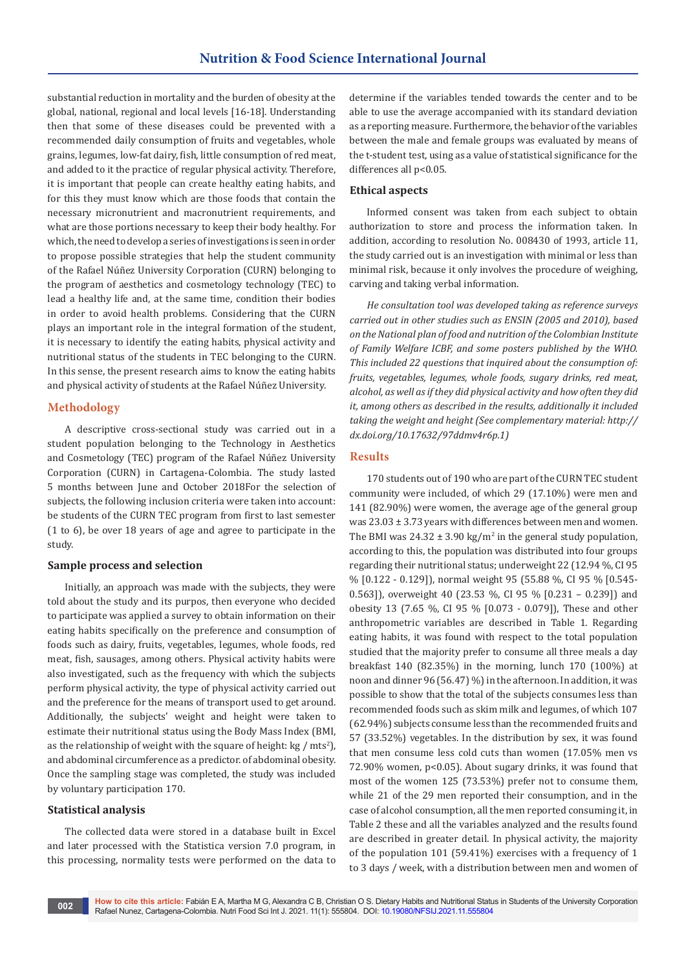substantial reduction in mortality and the burden of obesity at the global, national, regional and local levels [16-18]. Understanding then that some of these diseases could be prevented with a recommended daily consumption of fruits and vegetables, whole grains, legumes, low-fat dairy, fish, little consumption of red meat, and added to it the practice of regular physical activity. Therefore, it is important that people can create healthy eating habits, and for this they must know which are those foods that contain the necessary micronutrient and macronutrient requirements, and what are those portions necessary to keep their body healthy. For which, the need to develop a series of investigations is seen in order to propose possible strategies that help the student community of the Rafael Núñez University Corporation (CURN) belonging to the program of aesthetics and cosmetology technology (TEC) to lead a healthy life and, at the same time, condition their bodies in order to avoid health problems. Considering that the CURN plays an important role in the integral formation of the student, it is necessary to identify the eating habits, physical activity and nutritional status of the students in TEC belonging to the CURN. In this sense, the present research aims to know the eating habits and physical activity of students at the Rafael Núñez University.

## **Methodology**

A descriptive cross-sectional study was carried out in a student population belonging to the Technology in Aesthetics and Cosmetology (TEC) program of the Rafael Núñez University Corporation (CURN) in Cartagena-Colombia. The study lasted 5 months between June and October 2018For the selection of subjects, the following inclusion criteria were taken into account: be students of the CURN TEC program from first to last semester (1 to 6), be over 18 years of age and agree to participate in the study.

#### **Sample process and selection**

Initially, an approach was made with the subjects, they were told about the study and its purpos, then everyone who decided to participate was applied a survey to obtain information on their eating habits specifically on the preference and consumption of foods such as dairy, fruits, vegetables, legumes, whole foods, red meat, fish, sausages, among others. Physical activity habits were also investigated, such as the frequency with which the subjects perform physical activity, the type of physical activity carried out and the preference for the means of transport used to get around. Additionally, the subjects' weight and height were taken to estimate their nutritional status using the Body Mass Index (BMI, as the relationship of weight with the square of height:  $kg / mts^2$ ), and abdominal circumference as a predictor. of abdominal obesity. Once the sampling stage was completed, the study was included by voluntary participation 170.

#### **Statistical analysis**

The collected data were stored in a database built in Excel and later processed with the Statistica version 7.0 program, in this processing, normality tests were performed on the data to

determine if the variables tended towards the center and to be able to use the average accompanied with its standard deviation as a reporting measure. Furthermore, the behavior of the variables between the male and female groups was evaluated by means of the t-student test, using as a value of statistical significance for the differences all p<0.05.

## **Ethical aspects**

Informed consent was taken from each subject to obtain authorization to store and process the information taken. In addition, according to resolution No. 008430 of 1993, article 11, the study carried out is an investigation with minimal or less than minimal risk, because it only involves the procedure of weighing, carving and taking verbal information.

*He consultation tool was developed taking as reference surveys carried out in other studies such as ENSIN (2005 and 2010), based on the National plan of food and nutrition of the Colombian Institute of Family Welfare ICBF, and some posters published by the WHO. This included 22 questions that inquired about the consumption of: fruits, vegetables, legumes, whole foods, sugary drinks, red meat, alcohol, as well as if they did physical activity and how often they did it, among others as described in the results, additionally it included taking the weight and height (See complementary material: http:// dx.doi.org/10.17632/97ddmv4r6p.1)*

# **Results**

170 students out of 190 who are part of the CURN TEC student community were included, of which 29 (17.10%) were men and 141 (82.90%) were women, the average age of the general group was 23.03 ± 3.73 years with differences between men and women. The BMI was  $24.32 \pm 3.90 \text{ kg/m}^2$  in the general study population, according to this, the population was distributed into four groups regarding their nutritional status; underweight 22 (12.94 %, CI 95 % [0.122 - 0.129]), normal weight 95 (55.88 %, CI 95 % [0.545- 0.563]), overweight 40 (23.53 %, CI 95 % [0.231 – 0.239]) and obesity 13 (7.65 %, CI 95 % [0.073 - 0.079]), These and other anthropometric variables are described in Table 1. Regarding eating habits, it was found with respect to the total population studied that the majority prefer to consume all three meals a day breakfast 140 (82.35%) in the morning, lunch 170 (100%) at noon and dinner 96 (56.47) %) in the afternoon. In addition, it was possible to show that the total of the subjects consumes less than recommended foods such as skim milk and legumes, of which 107 (62.94%) subjects consume less than the recommended fruits and 57 (33.52%) vegetables. In the distribution by sex, it was found that men consume less cold cuts than women (17.05% men vs 72.90% women, p<0.05). About sugary drinks, it was found that most of the women 125 (73.53%) prefer not to consume them, while 21 of the 29 men reported their consumption, and in the case of alcohol consumption, all the men reported consuming it, in Table 2 these and all the variables analyzed and the results found are described in greater detail. In physical activity, the majority of the population 101 (59.41%) exercises with a frequency of 1 to 3 days / week, with a distribution between men and women of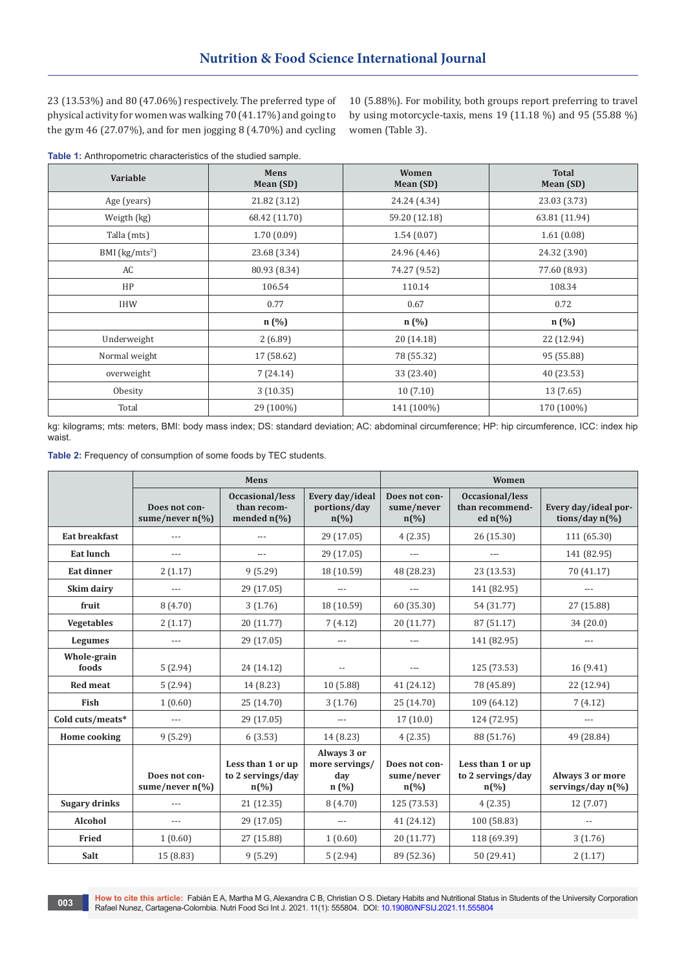23 (13.53%) and 80 (47.06%) respectively. The preferred type of physical activity for women was walking 70 (41.17%) and going to the gym 46 (27.07%), and for men jogging 8 (4.70%) and cycling

10 (5.88%). For mobility, both groups report preferring to travel by using motorcycle-taxis, mens 19 (11.18 %) and 95 (55.88 %) women (Table 3).

|  |  | Table 1: Anthropometric characteristics of the studied sample. |  |  |  |
|--|--|----------------------------------------------------------------|--|--|--|
|--|--|----------------------------------------------------------------|--|--|--|

| Variable         | Mens<br>Mean (SD) | Women<br>Mean (SD) | <b>Total</b><br>Mean (SD) |  |
|------------------|-------------------|--------------------|---------------------------|--|
| Age (years)      | 21.82 (3.12)      | 24.24 (4.34)       | 23.03 (3.73)              |  |
| Weigth (kg)      | 68.42 (11.70)     | 59.20 (12.18)      | 63.81 (11.94)             |  |
| Talla (mts)      | 1.70(0.09)        | 1.54(0.07)         | 1.61(0.08)                |  |
| BMI $(kg/mts^2)$ | 23.68 (3.34)      | 24.96 (4.46)       | 24.32 (3.90)              |  |
| AC               | 80.93 (8.34)      | 74.27 (9.52)       | 77.60 (8.93)              |  |
| HP               | 106.54            | 110.14             | 108.34                    |  |
| IHW              | 0.77              | 0.67               | 0.72                      |  |
|                  | n (%)             | n (%)              | n (%)                     |  |
| Underweight      | 2(6.89)           | 20(14.18)          | 22 (12.94)                |  |
| Normal weight    | 17 (58.62)        | 78 (55.32)         | 95 (55.88)                |  |
| overweight       | 7(24.14)          | 33 (23.40)         | 40 (23.53)                |  |
| Obesity          | 3(10.35)          | 10(7.10)           | 13 (7.65)                 |  |
| Total            | 29 (100%)         | 141 (100%)         | 170 (100%)                |  |

kg: kilograms; mts: meters, BMI: body mass index; DS: standard deviation; AC: abdominal circumference; HP: hip circumference, ICC: index hip waist.

|  |  | Table 2: Frequency of consumption of some foods by TEC students. |
|--|--|------------------------------------------------------------------|
|--|--|------------------------------------------------------------------|

|                      | Mens                                       |                                                                      |                                                                | Women                                                      |                                                                       |                                                  |  |
|----------------------|--------------------------------------------|----------------------------------------------------------------------|----------------------------------------------------------------|------------------------------------------------------------|-----------------------------------------------------------------------|--------------------------------------------------|--|
|                      | Does not con-<br>sume/never $n\frac{6}{6}$ | Occasional/less<br>than recom-<br>mended $n\left(\frac{9}{6}\right)$ | Every day/ideal<br>portions/day<br>$n\left(\frac{0}{0}\right)$ | Does not con-<br>sume/never<br>$n\left(\frac{0}{0}\right)$ | Occasional/less<br>than recommend-<br>ed $n\left(\frac{0}{0}\right)$  | Every day/ideal por-<br>tions/day $n\frac{6}{6}$ |  |
| <b>Eat breakfast</b> | ---                                        |                                                                      | 29 (17.05)                                                     | 4(2.35)                                                    | 26 (15.30)                                                            | 111 (65.30)                                      |  |
| Eat lunch            | ---                                        | $---$                                                                | 29 (17.05)                                                     | $\qquad \qquad - -$                                        | $---$                                                                 | 141 (82.95)                                      |  |
| <b>Eat dinner</b>    | 2(1.17)                                    | 9(5.29)                                                              | 18 (10.59)                                                     | 48 (28.23)                                                 | 23 (13.53)                                                            | 70 (41.17)                                       |  |
| Skim dairy           | $---$                                      | 29 (17.05)                                                           | $---$                                                          | $---$                                                      | 141 (82.95)                                                           | $---$                                            |  |
| fruit                | 8(4.70)                                    | 3(1.76)                                                              | 18 (10.59)                                                     | 60 (35.30)                                                 | 54 (31.77)                                                            | 27 (15.88)                                       |  |
| <b>Vegetables</b>    | 2(1.17)                                    | 20 (11.77)                                                           | 7(4.12)                                                        | 20 (11.77)                                                 | 87 (51.17)                                                            | 34(20.0)                                         |  |
| Legumes              | $---$                                      | 29 (17.05)                                                           | $---$                                                          | $\qquad \qquad - -$                                        | 141 (82.95)                                                           | $\qquad \qquad - -$                              |  |
| Whole-grain<br>foods | 5(2.94)                                    | 24 (14.12)                                                           | $\overline{\phantom{a}}$                                       | $---$                                                      | 125 (73.53)                                                           | 16(9.41)                                         |  |
| <b>Red meat</b>      | 5(2.94)                                    | 14 (8.23)                                                            | 10(5.88)                                                       | 41 (24.12)                                                 | 78 (45.89)                                                            | 22 (12.94)                                       |  |
| Fish                 | 1(0.60)                                    | 25 (14.70)                                                           | 3(1.76)                                                        | 25 (14.70)                                                 | 109 (64.12)                                                           | 7(4.12)                                          |  |
| Cold cuts/meats*     | $---$                                      | 29 (17.05)                                                           | $---$                                                          | 17(10.0)                                                   | 124 (72.95)                                                           | $\qquad \qquad - -$                              |  |
| Home cooking         | 9(5.29)                                    | 6(3.53)                                                              | 14 (8.23)                                                      | 4(2.35)                                                    | 88 (51.76)                                                            | 49 (28.84)                                       |  |
|                      | Does not con-<br>sume/never $n\frac{6}{6}$ | Less than 1 or up<br>to 2 servings/day<br>$n\binom{0}{0}$            | Always 3 or<br>more servings/<br>day<br>n(%)                   | Does not con-<br>sume/never<br>$n(\%)$                     | Less than 1 or up<br>to 2 servings/day<br>$n\left(\frac{9}{6}\right)$ | Always 3 or more<br>servings/day n(%)            |  |
| <b>Sugary drinks</b> | $---$                                      | 21(12.35)                                                            | 8(4.70)                                                        | 125 (73.53)                                                | 4(2.35)                                                               | 12 (7.07)                                        |  |
| Alcohol              | $---$                                      | 29 (17.05)                                                           | $---$                                                          | 41 (24.12)                                                 | 100 (58.83)                                                           | $\overline{\phantom{a}}$                         |  |
| Fried                | 1(0.60)                                    | 27 (15.88)                                                           | 1(0.60)                                                        | 20 (11.77)                                                 | 118 (69.39)                                                           | 3(1.76)                                          |  |
| Salt                 | 15 (8.83)                                  | 9(5.29)                                                              | 5(2.94)                                                        | 89 (52.36)                                                 | 50 (29.41)                                                            | 2(1.17)                                          |  |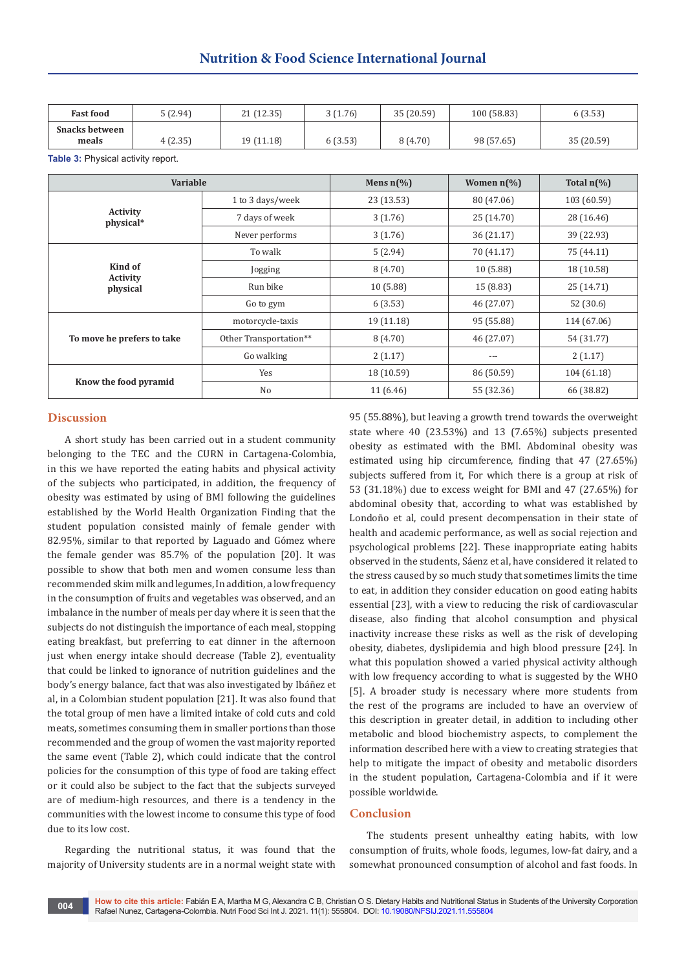| <b>Fast food</b>               | 5(2.94) | 21 (12.35) | 3(1.76) | 35 (20.59) | 100 (58.83) | 6(3.53)    |
|--------------------------------|---------|------------|---------|------------|-------------|------------|
| <b>Snacks between</b><br>meals | 4(2.35) | 19 (11.18) | 6(3.53) | 8 (4.70)   | 98 (57.65)  | 35 (20.59) |

**Table 3:** Physical activity report.

| Variable                     |                        | Mens $n\frac{6}{6}$ | Women $n\frac{1}{6}$ | Total $n\llap/$ <sub>0</sub> |
|------------------------------|------------------------|---------------------|----------------------|------------------------------|
|                              | 1 to 3 days/week       | 23 (13.53)          | 80 (47.06)           | 103 (60.59)                  |
| <b>Activity</b><br>physical* | 7 days of week         | 3(1.76)             | 25 (14.70)           | 28 (16.46)                   |
|                              | Never performs         | 3(1.76)             | 36(21.17)            | 39 (22.93)                   |
|                              | To walk                | 5(2.94)             | 70 (41.17)           | 75 (44.11)                   |
| Kind of                      | Jogging                | 8(4.70)             | 10(5.88)             | 18 (10.58)                   |
| <b>Activity</b><br>physical  | Run bike               | 10(5.88)            | 15 (8.83)            | 25 (14.71)                   |
|                              | Go to gym              | 6(3.53)             | 46 (27.07)           | 52 (30.6)                    |
|                              | motorcycle-taxis       | 19(11.18)           | 95 (55.88)           | 114 (67.06)                  |
| To move he prefers to take   | Other Transportation** | 8(4.70)             | 46 (27.07)           | 54 (31.77)                   |
|                              | Go walking             | 2(1.17)             | ---                  | 2(1.17)                      |
|                              | Yes                    | 18 (10.59)          | 86 (50.59)           | 104(61.18)                   |
| Know the food pyramid        | No                     | 11(6.46)            | 55 (32.36)           | 66 (38.82)                   |

#### **Discussion**

A short study has been carried out in a student community belonging to the TEC and the CURN in Cartagena-Colombia, in this we have reported the eating habits and physical activity of the subjects who participated, in addition, the frequency of obesity was estimated by using of BMI following the guidelines established by the World Health Organization Finding that the student population consisted mainly of female gender with 82.95%, similar to that reported by Laguado and Gómez where the female gender was 85.7% of the population [20]. It was possible to show that both men and women consume less than recommended skim milk and legumes, In addition, a low frequency in the consumption of fruits and vegetables was observed, and an imbalance in the number of meals per day where it is seen that the subjects do not distinguish the importance of each meal, stopping eating breakfast, but preferring to eat dinner in the afternoon just when energy intake should decrease (Table 2), eventuality that could be linked to ignorance of nutrition guidelines and the body's energy balance, fact that was also investigated by Ibáñez et al, in a Colombian student population [21]. It was also found that the total group of men have a limited intake of cold cuts and cold meats, sometimes consuming them in smaller portions than those recommended and the group of women the vast majority reported the same event (Table 2), which could indicate that the control policies for the consumption of this type of food are taking effect or it could also be subject to the fact that the subjects surveyed are of medium-high resources, and there is a tendency in the communities with the lowest income to consume this type of food due to its low cost.

Regarding the nutritional status, it was found that the majority of University students are in a normal weight state with 95 (55.88%), but leaving a growth trend towards the overweight state where 40 (23.53%) and 13 (7.65%) subjects presented obesity as estimated with the BMI. Abdominal obesity was estimated using hip circumference, finding that 47 (27.65%) subjects suffered from it, For which there is a group at risk of 53 (31.18%) due to excess weight for BMI and 47 (27.65%) for abdominal obesity that, according to what was established by Londoño et al, could present decompensation in their state of health and academic performance, as well as social rejection and psychological problems [22]. These inappropriate eating habits observed in the students, Sáenz et al, have considered it related to the stress caused by so much study that sometimes limits the time to eat, in addition they consider education on good eating habits essential [23], with a view to reducing the risk of cardiovascular disease, also finding that alcohol consumption and physical inactivity increase these risks as well as the risk of developing obesity, diabetes, dyslipidemia and high blood pressure [24]. In what this population showed a varied physical activity although with low frequency according to what is suggested by the WHO [5]. A broader study is necessary where more students from the rest of the programs are included to have an overview of this description in greater detail, in addition to including other metabolic and blood biochemistry aspects, to complement the information described here with a view to creating strategies that help to mitigate the impact of obesity and metabolic disorders in the student population, Cartagena-Colombia and if it were possible worldwide.

# **Conclusion**

The students present unhealthy eating habits, with low consumption of fruits, whole foods, legumes, low-fat dairy, and a somewhat pronounced consumption of alcohol and fast foods. In